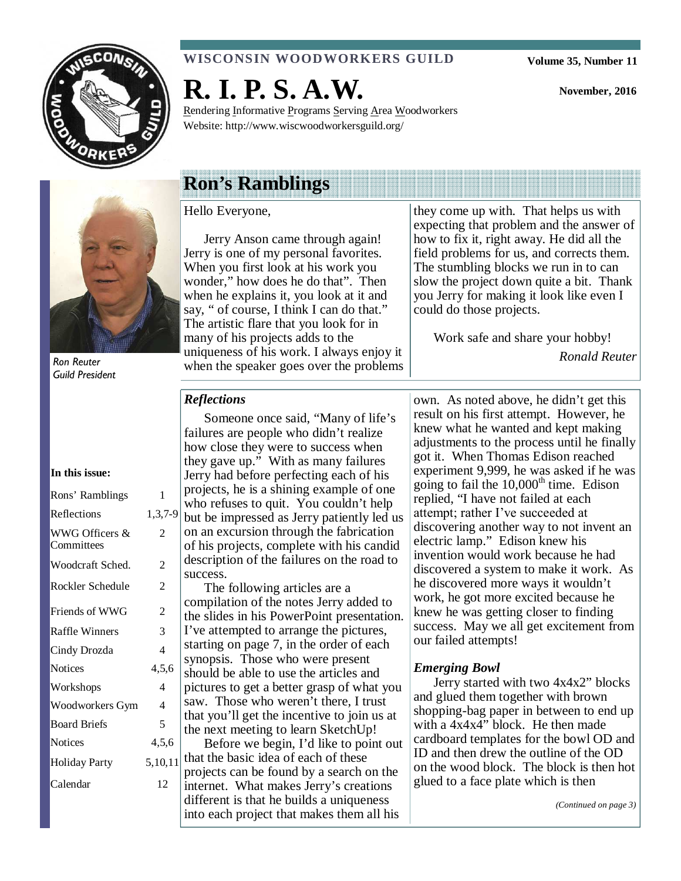

#### **WISCONSIN WOODWORKERS GUILD**

**Volume 35, Number 11** 

**November, 2016** 



Ron Reuter Guild President

#### **In this issue:**

| Rons' Ramblings              | 1              |
|------------------------------|----------------|
| Reflections                  | 1,3,7-9        |
| WWG Officers &<br>Committees | 2              |
| Woodcraft Sched.             | 2              |
| Rockler Schedule             | 2              |
| Friends of WWG               | 2              |
| <b>Raffle Winners</b>        | 3              |
| Cindy Drozda                 | 4              |
| <b>Notices</b>               | 4,5,6          |
| Workshops                    | $\overline{4}$ |
| Woodworkers Gym              | 4              |
| <b>Board Briefs</b>          | 5              |
| <b>Notices</b>               | 4,5,6          |
| Holiday Party                | 5,10,11        |
| Calendar                     | 12             |
|                              |                |

## **R. I. P. S. A.W.**  Rendering Informative Programs Serving Area Woodworkers

Website: http://www.wiscwoodworkersguild.org/

## **Ron's Ramblings**

#### Hello Everyone,

Jerry Anson came through again! Jerry is one of my personal favorites. When you first look at his work you wonder," how does he do that". Then when he explains it, you look at it and say, " of course, I think I can do that." The artistic flare that you look for in many of his projects adds to the uniqueness of his work. I always enjoy it when the speaker goes over the problems

they come up with. That helps us with expecting that problem and the answer of how to fix it, right away. He did all the field problems for us, and corrects them. The stumbling blocks we run in to can slow the project down quite a bit. Thank you Jerry for making it look like even I could do those projects.

Work safe and share your hobby!

*Ronald Reuter* 

#### *Reflections*

Someone once said, "Many of life's failures are people who didn't realize how close they were to success when they gave up." With as many failures Jerry had before perfecting each of his projects, he is a shining example of one who refuses to quit. You couldn't help but be impressed as Jerry patiently led us on an excursion through the fabrication of his projects, complete with his candid description of the failures on the road to success.

The following articles are a compilation of the notes Jerry added to the slides in his PowerPoint presentation. I've attempted to arrange the pictures, starting on page 7, in the order of each synopsis. Those who were present should be able to use the articles and pictures to get a better grasp of what you saw. Those who weren't there, I trust that you'll get the incentive to join us at the next meeting to learn SketchUp! Before we begin, I'd like to point out that the basic idea of each of these projects can be found by a search on the internet. What makes Jerry's creations different is that he builds a uniqueness

into each project that makes them all his

own. As noted above, he didn't get this result on his first attempt. However, he knew what he wanted and kept making adjustments to the process until he finally got it. When Thomas Edison reached experiment 9,999, he was asked if he was going to fail the  $10,000<sup>th</sup>$  time. Edison replied, "I have not failed at each attempt; rather I've succeeded at discovering another way to not invent an electric lamp." Edison knew his invention would work because he had discovered a system to make it work. As he discovered more ways it wouldn't work, he got more excited because he knew he was getting closer to finding success. May we all get excitement from our failed attempts!

#### *Emerging Bowl*

Jerry started with two 4x4x2" blocks and glued them together with brown shopping-bag paper in between to end up with a 4x4x4" block. He then made cardboard templates for the bowl OD and ID and then drew the outline of the OD on the wood block. The block is then hot glued to a face plate which is then

*(Continued on page 3)*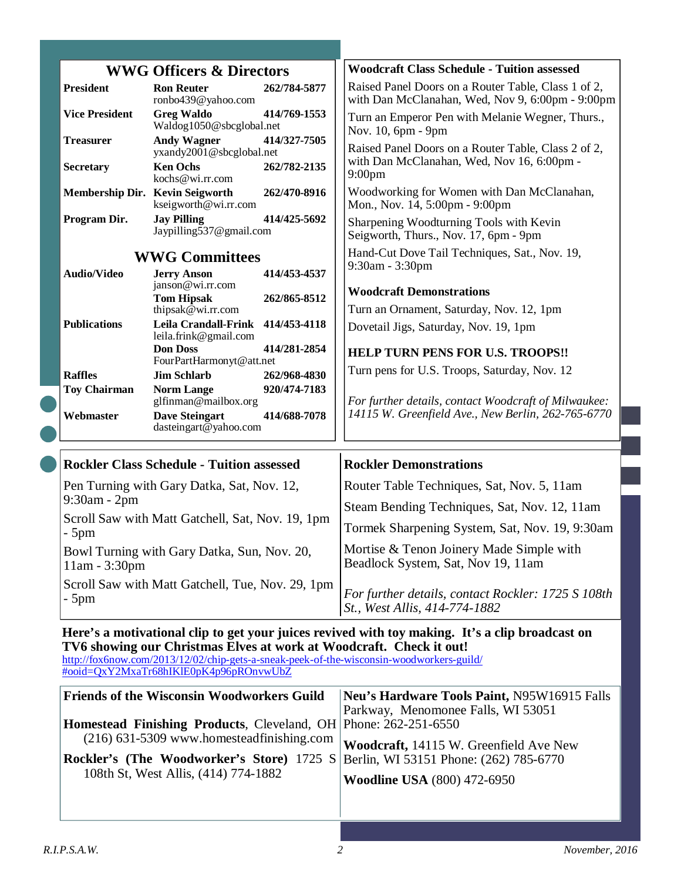| <b>WWG Officers &amp; Directors</b>                                                             |                                                                | <b>Woodcraft Class Schedule - Tuition assessed</b>                                                      |  |
|-------------------------------------------------------------------------------------------------|----------------------------------------------------------------|---------------------------------------------------------------------------------------------------------|--|
| <b>President</b>                                                                                | 262/784-5877<br><b>Ron Reuter</b><br>ronbo439@yahoo.com        | Raised Panel Doors on a Router Table, Class 1 of 2,<br>with Dan McClanahan, Wed, Nov 9, 6:00pm - 9:00pm |  |
| <b>Vice President</b>                                                                           | <b>Greg Waldo</b><br>414/769-1553<br>Waldog1050@sbcglobal.net  | Turn an Emperor Pen with Melanie Wegner, Thurs.,<br>Nov. 10, 6pm - 9pm                                  |  |
| <b>Treasurer</b>                                                                                | <b>Andy Wagner</b><br>414/327-7505<br>yxandy2001@sbcglobal.net | Raised Panel Doors on a Router Table, Class 2 of 2,<br>with Dan McClanahan, Wed, Nov 16, 6:00pm -       |  |
| <b>Secretary</b>                                                                                | <b>Ken Ochs</b><br>262/782-2135<br>kochs@wi.rr.com             | 9:00 <sub>pm</sub>                                                                                      |  |
| Membership Dir. Kevin Seigworth                                                                 | 262/470-8916<br>kseigworth@wi.rr.com                           | Woodworking for Women with Dan McClanahan,<br>Mon., Nov. 14, 5:00pm - 9:00pm                            |  |
| Program Dir.                                                                                    | <b>Jay Pilling</b><br>414/425-5692<br>Jaypilling537@gmail.com  | Sharpening Woodturning Tools with Kevin<br>Seigworth, Thurs., Nov. 17, 6pm - 9pm                        |  |
|                                                                                                 | <b>WWG Committees</b>                                          | Hand-Cut Dove Tail Techniques, Sat., Nov. 19,<br>9:30am - 3:30pm                                        |  |
| <b>Audio/Video</b>                                                                              | 414/453-4537<br><b>Jerry Anson</b><br>janson@wi.rr.com         |                                                                                                         |  |
|                                                                                                 | <b>Tom Hipsak</b><br>262/865-8512                              | <b>Woodcraft Demonstrations</b>                                                                         |  |
|                                                                                                 | thipsak $@$ wi.rr.com                                          | Turn an Ornament, Saturday, Nov. 12, 1pm                                                                |  |
| <b>Publications</b>                                                                             | Leila Crandall-Frink<br>414/453-4118<br>leila.frink@gmail.com  | Dovetail Jigs, Saturday, Nov. 19, 1pm                                                                   |  |
|                                                                                                 | <b>Don Doss</b><br>414/281-2854                                | <b>HELP TURN PENS FOR U.S. TROOPS!!</b>                                                                 |  |
| <b>Raffles</b>                                                                                  | FourPartHarmonyt@att.net<br><b>Jim Schlarb</b><br>262/968-4830 | Turn pens for U.S. Troops, Saturday, Nov. 12                                                            |  |
| <b>Toy Chairman</b>                                                                             | 920/474-7183<br><b>Norm Lange</b>                              |                                                                                                         |  |
|                                                                                                 | glfinman@mailbox.org                                           | For further details, contact Woodcraft of Milwaukee:                                                    |  |
| Webmaster                                                                                       | <b>Dave Steingart</b><br>414/688-7078<br>dasteingart@yahoo.com | 14115 W. Greenfield Ave., New Berlin, 262-765-6770                                                      |  |
|                                                                                                 |                                                                |                                                                                                         |  |
| <b>Rockler Class Schedule - Tuition assessed</b>                                                |                                                                | <b>Rockler Demonstrations</b>                                                                           |  |
| $9:30am - 2pm$                                                                                  | Pen Turning with Gary Datka, Sat, Nov. 12,                     | Router Table Techniques, Sat, Nov. 5, 11am                                                              |  |
|                                                                                                 | Scroll Saw with Matt Gatchell, Sat, Nov. 19, 1pm               | Steam Bending Techniques, Sat, Nov. 12, 11am                                                            |  |
| $-5$ pm                                                                                         |                                                                | Tormek Sharpening System, Sat, Nov. 19, 9:30am                                                          |  |
| $11am - 3:30pm$                                                                                 | Bowl Turning with Gary Datka, Sun, Nov. 20,                    | Mortise & Tenon Joinery Made Simple with<br>Beadlock System, Sat, Nov 19, 11am                          |  |
| Scroll Saw with Matt Gatchell, Tue, Nov. 29, 1pm<br>- 5pm                                       |                                                                | For further details, contact Rockler: 1725 S 108th<br>St., West Allis, 414-774-1882                     |  |
| Here's a motivational clip to get your juices revived with toy making. It's a clip broadcast on |                                                                |                                                                                                         |  |

#### **Here's a motivational clip to get your juices revived with toy making. It's a clip broadcast on TV6 showing our Christmas Elves at work at Woodcraft. Check it out!**

http://fox6now.com/2013/12/02/chip-gets-a-sneak-peek-of-the-wisconsin-woodworkers-guild/ #ooid=QxY2MxaTr68hIKlE0pK4p96pROnvwUbZ

| <b>Friends of the Wisconsin Woodworkers Guild</b>                                       | Neu's Hardware Tools Paint, N95W16915 Falls |
|-----------------------------------------------------------------------------------------|---------------------------------------------|
|                                                                                         | Parkway, Menomonee Falls, WI 53051          |
| <b>Homestead Finishing Products, Cleveland, OH Phone: 262-251-6550</b>                  |                                             |
| $(216)$ 631-5309 www.homesteadfinishing.com                                             | Woodcraft, 14115 W. Greenfield Ave New      |
| <b>Rockler's (The Woodworker's Store)</b> 1725 S Berlin, WI 53151 Phone: (262) 785-6770 |                                             |
| 108th St, West Allis, (414) 774-1882                                                    | <b>Woodline USA</b> (800) 472-6950          |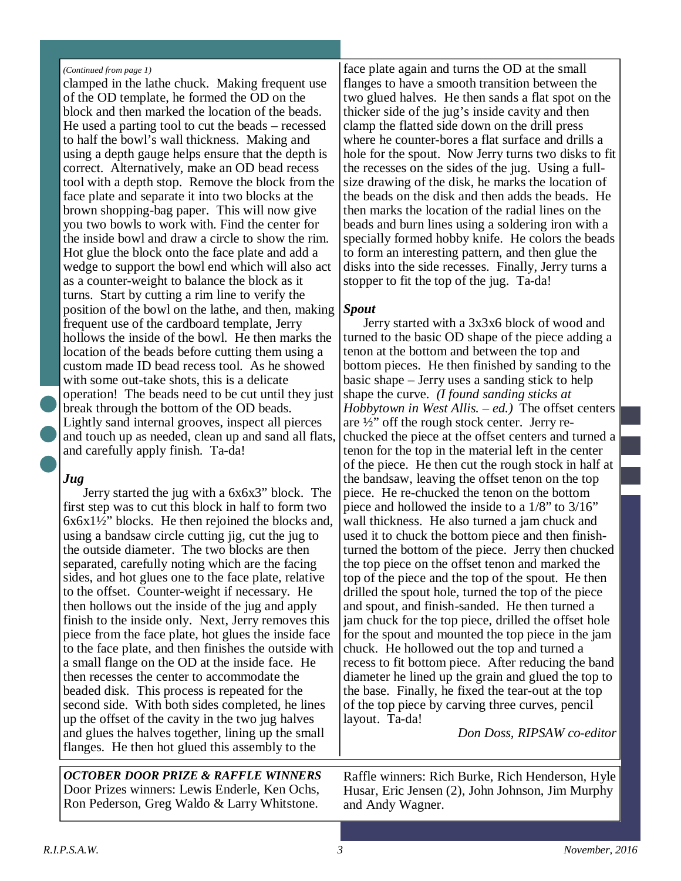#### *(Continued from page 1)*

clamped in the lathe chuck. Making frequent use of the OD template, he formed the OD on the block and then marked the location of the beads. He used a parting tool to cut the beads – recessed to half the bowl's wall thickness. Making and using a depth gauge helps ensure that the depth is correct. Alternatively, make an OD bead recess tool with a depth stop. Remove the block from the face plate and separate it into two blocks at the brown shopping-bag paper. This will now give you two bowls to work with. Find the center for the inside bowl and draw a circle to show the rim. Hot glue the block onto the face plate and add a wedge to support the bowl end which will also act as a counter-weight to balance the block as it turns. Start by cutting a rim line to verify the position of the bowl on the lathe, and then, making frequent use of the cardboard template, Jerry hollows the inside of the bowl. He then marks the location of the beads before cutting them using a custom made ID bead recess tool. As he showed with some out-take shots, this is a delicate operation! The beads need to be cut until they just break through the bottom of the OD beads. Lightly sand internal grooves, inspect all pierces and touch up as needed, clean up and sand all flats, and carefully apply finish. Ta-da!

#### *Jug*

Jerry started the jug with a 6x6x3" block. The first step was to cut this block in half to form two  $6x6x1\frac{1}{2}$ " blocks. He then rejoined the blocks and, using a bandsaw circle cutting jig, cut the jug to the outside diameter. The two blocks are then separated, carefully noting which are the facing sides, and hot glues one to the face plate, relative to the offset. Counter-weight if necessary. He then hollows out the inside of the jug and apply finish to the inside only. Next, Jerry removes this piece from the face plate, hot glues the inside face to the face plate, and then finishes the outside with a small flange on the OD at the inside face. He then recesses the center to accommodate the beaded disk. This process is repeated for the second side. With both sides completed, he lines up the offset of the cavity in the two jug halves and glues the halves together, lining up the small flanges. He then hot glued this assembly to the

*OCTOBER DOOR PRIZE & RAFFLE WINNERS*  Door Prizes winners: Lewis Enderle, Ken Ochs, Ron Pederson, Greg Waldo & Larry Whitstone.

face plate again and turns the OD at the small flanges to have a smooth transition between the two glued halves. He then sands a flat spot on the thicker side of the jug's inside cavity and then clamp the flatted side down on the drill press where he counter-bores a flat surface and drills a hole for the spout. Now Jerry turns two disks to fit the recesses on the sides of the jug. Using a fullsize drawing of the disk, he marks the location of the beads on the disk and then adds the beads. He then marks the location of the radial lines on the beads and burn lines using a soldering iron with a specially formed hobby knife. He colors the beads to form an interesting pattern, and then glue the disks into the side recesses. Finally, Jerry turns a stopper to fit the top of the jug. Ta-da!

#### *Spout*

Jerry started with a 3x3x6 block of wood and turned to the basic OD shape of the piece adding a tenon at the bottom and between the top and bottom pieces. He then finished by sanding to the basic shape – Jerry uses a sanding stick to help shape the curve. *(I found sanding sticks at Hobbytown in West Allis. – ed.)* The offset centers are ½" off the rough stock center. Jerry rechucked the piece at the offset centers and turned a tenon for the top in the material left in the center of the piece. He then cut the rough stock in half at the bandsaw, leaving the offset tenon on the top piece. He re-chucked the tenon on the bottom piece and hollowed the inside to a 1/8" to 3/16" wall thickness. He also turned a jam chuck and used it to chuck the bottom piece and then finishturned the bottom of the piece. Jerry then chucked the top piece on the offset tenon and marked the top of the piece and the top of the spout. He then drilled the spout hole, turned the top of the piece and spout, and finish-sanded. He then turned a jam chuck for the top piece, drilled the offset hole for the spout and mounted the top piece in the jam chuck. He hollowed out the top and turned a recess to fit bottom piece. After reducing the band diameter he lined up the grain and glued the top to the base. Finally, he fixed the tear-out at the top of the top piece by carving three curves, pencil layout. Ta-da!

*Don Doss, RIPSAW co-editor* 

Raffle winners: Rich Burke, Rich Henderson, Hyle Husar, Eric Jensen (2), John Johnson, Jim Murphy and Andy Wagner.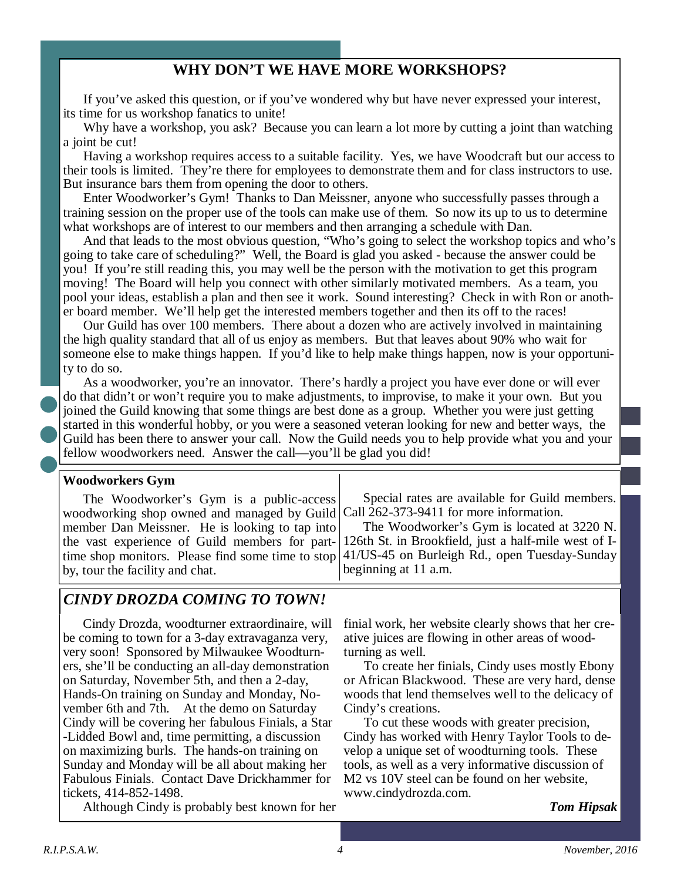#### **WHY DON'T WE HAVE MORE WORKSHOPS?**

If you've asked this question, or if you've wondered why but have never expressed your interest, its time for us workshop fanatics to unite!

Why have a workshop, you ask? Because you can learn a lot more by cutting a joint than watching a joint be cut!

Having a workshop requires access to a suitable facility. Yes, we have Woodcraft but our access to their tools is limited. They're there for employees to demonstrate them and for class instructors to use. But insurance bars them from opening the door to others.

Enter Woodworker's Gym! Thanks to Dan Meissner, anyone who successfully passes through a training session on the proper use of the tools can make use of them. So now its up to us to determine what workshops are of interest to our members and then arranging a schedule with Dan.

And that leads to the most obvious question, "Who's going to select the workshop topics and who's going to take care of scheduling?" Well, the Board is glad you asked - because the answer could be you! If you're still reading this, you may well be the person with the motivation to get this program moving! The Board will help you connect with other similarly motivated members. As a team, you pool your ideas, establish a plan and then see it work. Sound interesting? Check in with Ron or another board member. We'll help get the interested members together and then its off to the races!

Our Guild has over 100 members. There about a dozen who are actively involved in maintaining the high quality standard that all of us enjoy as members. But that leaves about 90% who wait for someone else to make things happen. If you'd like to help make things happen, now is your opportunity to do so.

As a woodworker, you're an innovator. There's hardly a project you have ever done or will ever do that didn't or won't require you to make adjustments, to improvise, to make it your own. But you joined the Guild knowing that some things are best done as a group. Whether you were just getting started in this wonderful hobby, or you were a seasoned veteran looking for new and better ways, the Guild has been there to answer your call. Now the Guild needs you to help provide what you and your fellow woodworkers need. Answer the call—you'll be glad you did!

#### **Woodworkers Gym**

The Woodworker's Gym is a public-access woodworking shop owned and managed by Guild member Dan Meissner. He is looking to tap into the vast experience of Guild members for parttime shop monitors. Please find some time to stop by, tour the facility and chat.

Special rates are available for Guild members. Call 262-373-9411 for more information.

The Woodworker's Gym is located at 3220 N. 126th St. in Brookfield, just a half-mile west of I-41/US-45 on Burleigh Rd., open Tuesday-Sunday beginning at 11 a.m.

#### *CINDY DROZDA COMING TO TOWN!*

Cindy Drozda, woodturner extraordinaire, will be coming to town for a 3-day extravaganza very, very soon! Sponsored by Milwaukee Woodturners, she'll be conducting an all-day demonstration on Saturday, November 5th, and then a 2-day, Hands-On training on Sunday and Monday, November 6th and 7th. At the demo on Saturday Cindy will be covering her fabulous Finials, a Star -Lidded Bowl and, time permitting, a discussion on maximizing burls. The hands-on training on Sunday and Monday will be all about making her Fabulous Finials. Contact Dave Drickhammer for tickets, 414-852-1498.

Although Cindy is probably best known for her

finial work, her website clearly shows that her creative juices are flowing in other areas of woodturning as well.

To create her finials, Cindy uses mostly Ebony or African Blackwood. These are very hard, dense woods that lend themselves well to the delicacy of Cindy's creations.

To cut these woods with greater precision, Cindy has worked with Henry Taylor Tools to develop a unique set of woodturning tools. These tools, as well as a very informative discussion of M2 vs 10V steel can be found on her website, www.cindydrozda.com.

*Tom Hipsak*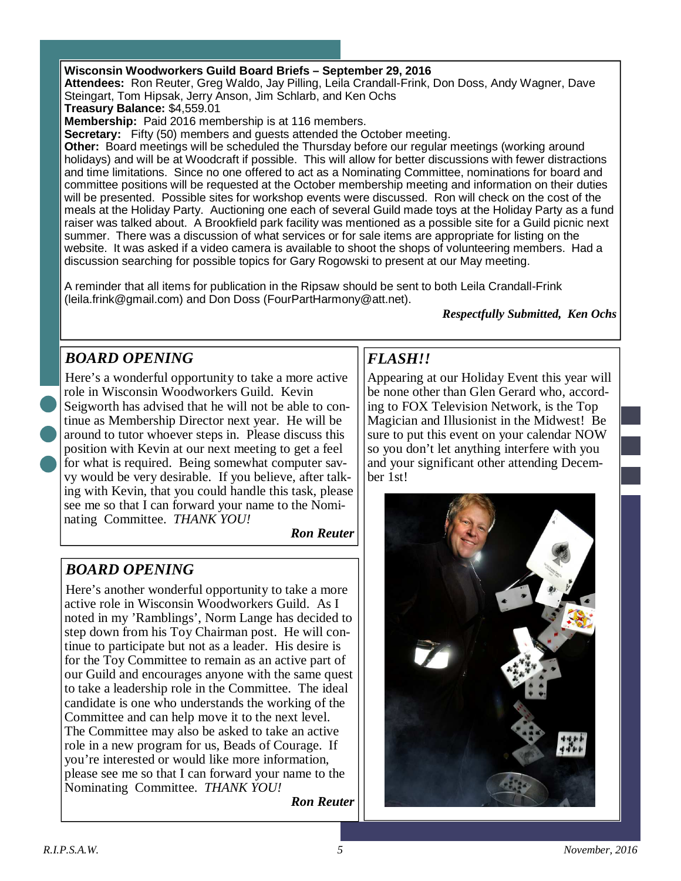#### **Wisconsin Woodworkers Guild Board Briefs – September 29, 2016**

**Attendees:** Ron Reuter, Greg Waldo, Jay Pilling, Leila Crandall-Frink, Don Doss, Andy Wagner, Dave Steingart, Tom Hipsak, Jerry Anson, Jim Schlarb, and Ken Ochs

**Treasury Balance:** \$4,559.01

**Membership:** Paid 2016 membership is at 116 members.

**Secretary:** Fifty (50) members and guests attended the October meeting.

**Other:** Board meetings will be scheduled the Thursday before our regular meetings (working around holidays) and will be at Woodcraft if possible. This will allow for better discussions with fewer distractions and time limitations. Since no one offered to act as a Nominating Committee, nominations for board and committee positions will be requested at the October membership meeting and information on their duties will be presented. Possible sites for workshop events were discussed. Ron will check on the cost of the meals at the Holiday Party. Auctioning one each of several Guild made toys at the Holiday Party as a fund raiser was talked about. A Brookfield park facility was mentioned as a possible site for a Guild picnic next summer. There was a discussion of what services or for sale items are appropriate for listing on the website. It was asked if a video camera is available to shoot the shops of volunteering members. Had a discussion searching for possible topics for Gary Rogowski to present at our May meeting.

A reminder that all items for publication in the Ripsaw should be sent to both Leila Crandall-Frink (leila.frink@gmail.com) and Don Doss (FourPartHarmony@att.net).

*Respectfully Submitted, Ken Ochs* 

#### *BOARD OPENING*

Here's a wonderful opportunity to take a more active role in Wisconsin Woodworkers Guild. Kevin Seigworth has advised that he will not be able to continue as Membership Director next year. He will be around to tutor whoever steps in. Please discuss this position with Kevin at our next meeting to get a feel for what is required. Being somewhat computer savvy would be very desirable. If you believe, after talking with Kevin, that you could handle this task, please see me so that I can forward your name to the Nominating Committee. *THANK YOU!* 

*Ron Reuter*

#### *BOARD OPENING*

Here's another wonderful opportunity to take a more active role in Wisconsin Woodworkers Guild. As I noted in my 'Ramblings', Norm Lange has decided to step down from his Toy Chairman post. He will continue to participate but not as a leader. His desire is for the Toy Committee to remain as an active part of our Guild and encourages anyone with the same quest to take a leadership role in the Committee. The ideal candidate is one who understands the working of the Committee and can help move it to the next level. The Committee may also be asked to take an active role in a new program for us, Beads of Courage. If you're interested or would like more information, please see me so that I can forward your name to the Nominating Committee. *THANK YOU!* 

*Ron Reuter*

#### *FLASH!!*

Appearing at our Holiday Event this year will be none other than Glen Gerard who, according to FOX Television Network, is the Top Magician and Illusionist in the Midwest! Be sure to put this event on your calendar NOW so you don't let anything interfere with you and your significant other attending December 1st!

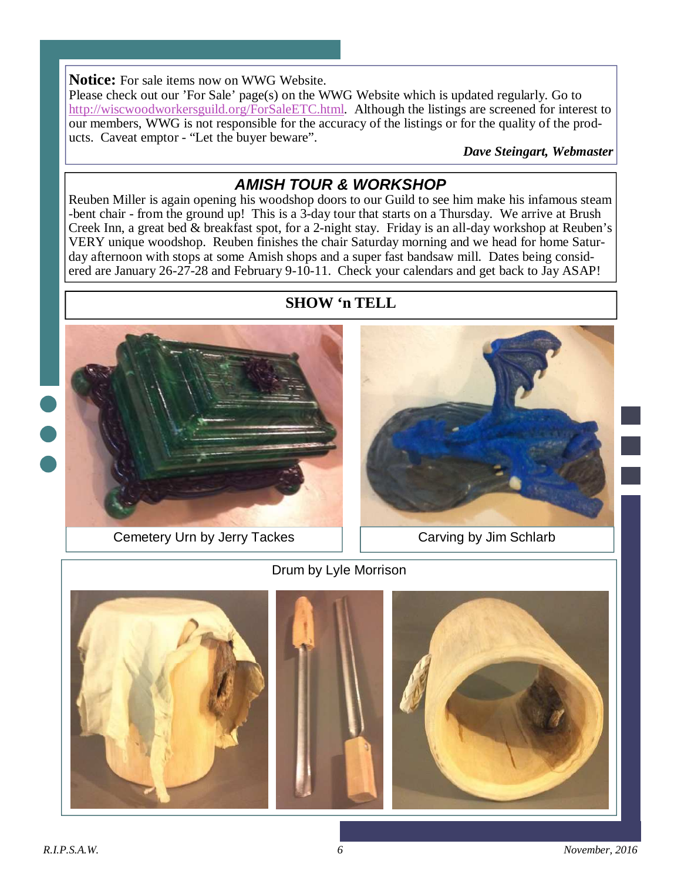#### **Notice:** For sale items now on WWG Website.

Please check out our 'For Sale' page(s) on the WWG Website which is updated regularly. Go to http://wiscwoodworkersguild.org/ForSaleETC.html. Although the listings are screened for interest to our members, WWG is not responsible for the accuracy of the listings or for the quality of the products. Caveat emptor - "Let the buyer beware".

*Dave Steingart, Webmaster* 

#### **AMISH TOUR & WORKSHOP**

Reuben Miller is again opening his woodshop doors to our Guild to see him make his infamous steam -bent chair - from the ground up! This is a 3-day tour that starts on a Thursday. We arrive at Brush Creek Inn, a great bed & breakfast spot, for a 2-night stay. Friday is an all-day workshop at Reuben's VERY unique woodshop. Reuben finishes the chair Saturday morning and we head for home Saturday afternoon with stops at some Amish shops and a super fast bandsaw mill. Dates being considered are January 26-27-28 and February 9-10-11. Check your calendars and get back to Jay ASAP!





#### Cemetery Urn by Jerry Tackes | | Carving by Jim Schlarb









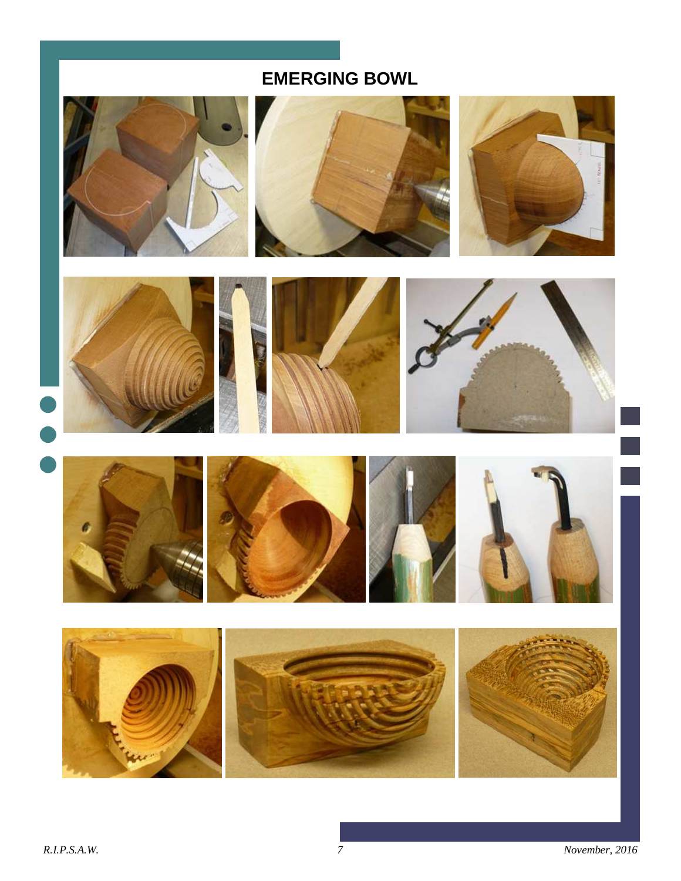## **EMERGING BOWL**















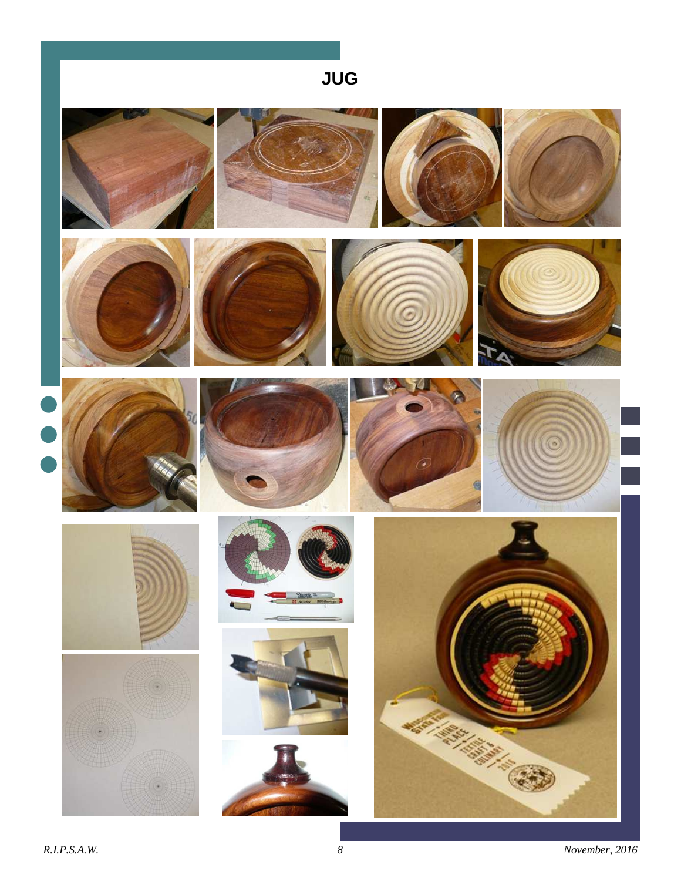## **JUG**























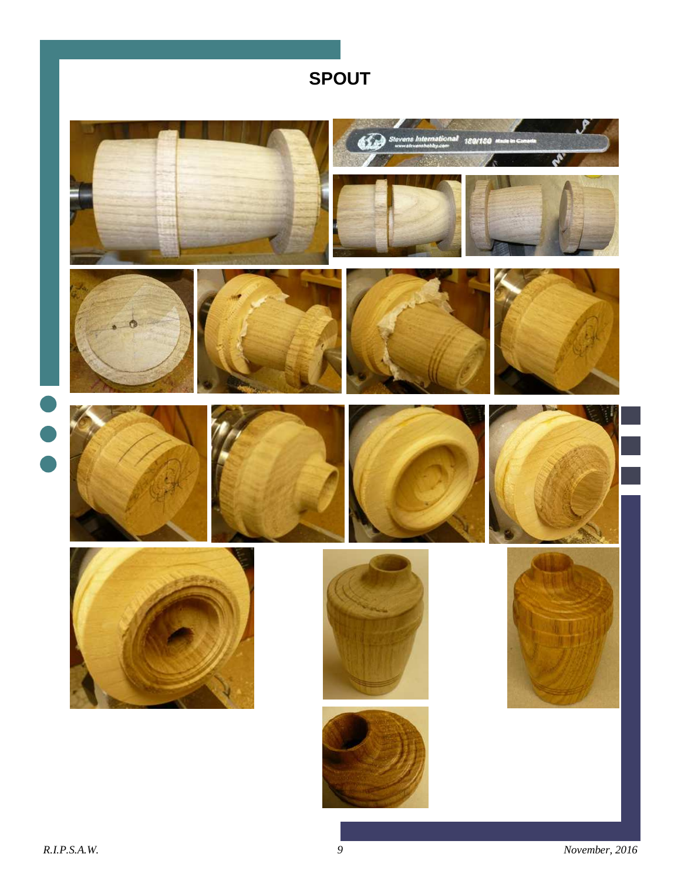## **SPOUT**

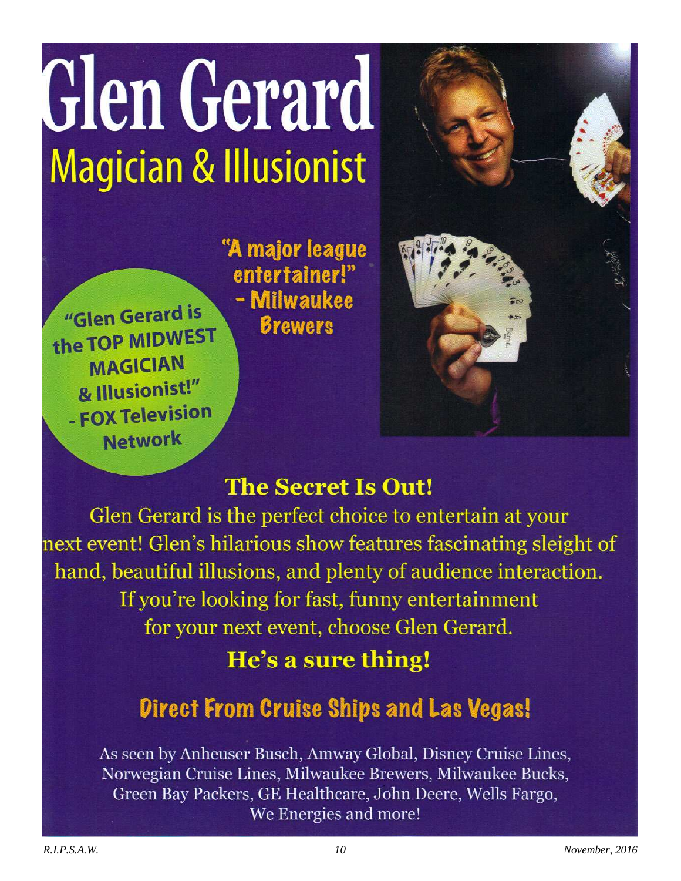# Glen Gerard **Magician & Illusionist**

"Glen Gerard is the TOP MIDWEST **MAGICIAN** & Illusionist!" - FOX Television **Network** 

"A major league entertainer!" - Milwaukee **Brewers** 

## **The Secret Is Out!**

Glen Gerard is the perfect choice to entertain at your next event! Glen's hilarious show features fascinating sleight of hand, beautiful illusions, and plenty of audience interaction. If you're looking for fast, funny entertainment for your next event, choose Glen Gerard.

## He's a sure thing!

## **Direct From Cruise Ships and Las Vegas!**

As seen by Anheuser Busch, Amway Global, Disney Cruise Lines, Norwegian Cruise Lines, Milwaukee Brewers, Milwaukee Bucks, Green Bay Packers, GE Healthcare, John Deere, Wells Fargo, We Energies and more!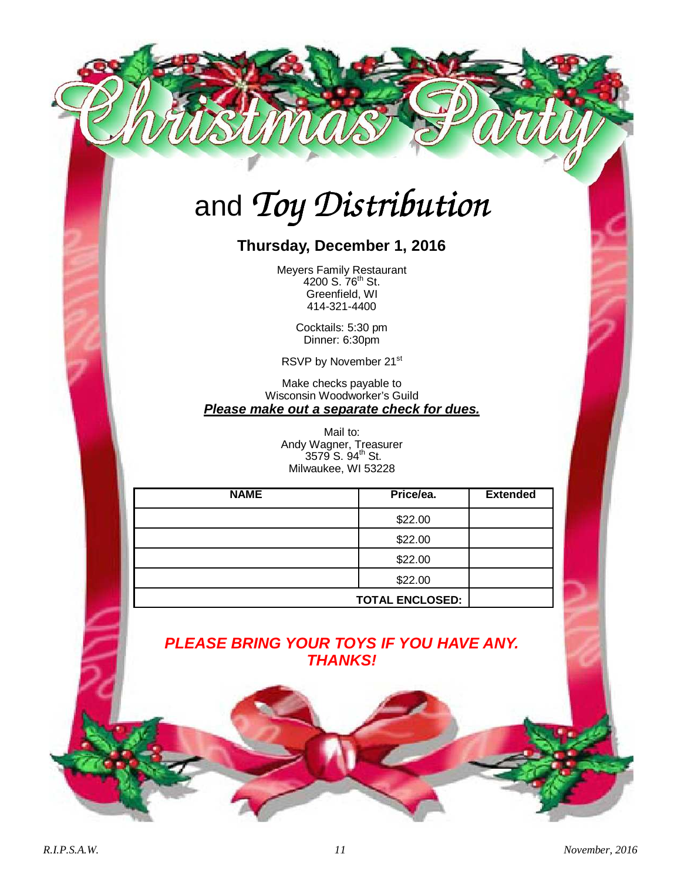## and *Toy Distribution*

#### **Thursday, December 1, 2016**

Meyers Family Restaurant 4200 S. 76<sup>th</sup> St. Greenfield, WI 414-321-4400

> Cocktails: 5:30 pm Dinner: 6:30pm

RSVP by November 21st

Make checks payable to Wisconsin Woodworker's Guild **Please make out a separate check for dues.** 

> Mail to: Andy Wagner, Treasurer 3579 S. 94<sup>th</sup> St. Milwaukee, WI 53228

| <b>NAME</b> | Price/ea.              | <b>Extended</b> |
|-------------|------------------------|-----------------|
|             | \$22.00                |                 |
|             | \$22.00                |                 |
|             | \$22.00                |                 |
|             | \$22.00                |                 |
|             | <b>TOTAL ENCLOSED:</b> |                 |

#### **PLEASE BRING YOUR TOYS IF YOU HAVE ANY. THANKS!**